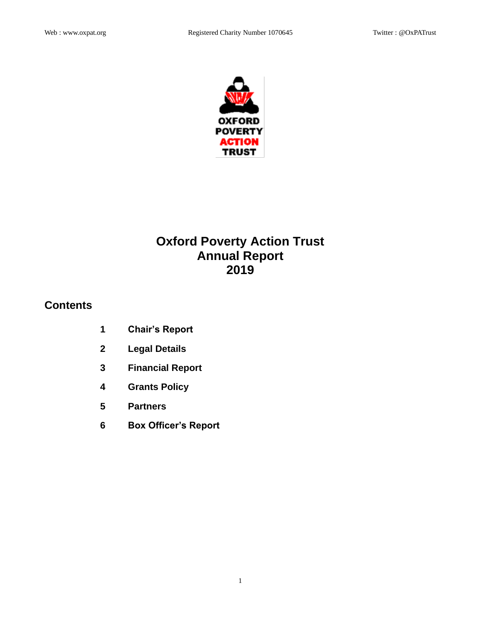

# **Oxford Poverty Action Trust Annual Report 2019**

## **Contents**

- **1 Chair's Report**
- **2 Legal Details**
- **3 Financial Report**
- **4 Grants Policy**
- **5 Partners**
- **6 Box Officer's Report**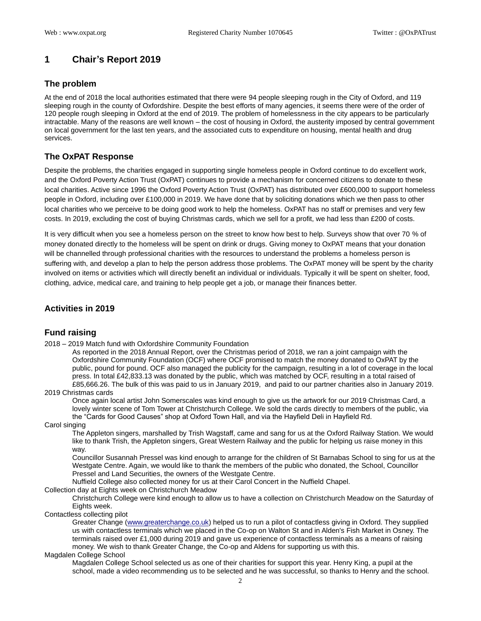## **1 Chair's Report 2019**

#### **The problem**

At the end of 2018 the local authorities estimated that there were 94 people sleeping rough in the City of Oxford, and 119 sleeping rough in the county of Oxfordshire. Despite the best efforts of many agencies, it seems there were of the order of 120 people rough sleeping in Oxford at the end of 2019. The problem of homelessness in the city appears to be particularly intractable. Many of the reasons are well known – the cost of housing in Oxford, the austerity imposed by central government on local government for the last ten years, and the associated cuts to expenditure on housing, mental health and drug services.

#### **The OxPAT Response**

Despite the problems, the charities engaged in supporting single homeless people in Oxford continue to do excellent work, and the Oxford Poverty Action Trust (OxPAT) continues to provide a mechanism for concerned citizens to donate to these local charities. Active since 1996 the Oxford Poverty Action Trust (OxPAT) has distributed over £600,000 to support homeless people in Oxford, including over £100,000 in 2019. We have done that by soliciting donations which we then pass to other local charities who we perceive to be doing good work to help the homeless. OxPAT has no staff or premises and very few costs. In 2019, excluding the cost of buying Christmas cards, which we sell for a profit, we had less than £200 of costs.

It is very difficult when you see a homeless person on the street to know how best to help. Surveys show that over 70 % of money donated directly to the homeless will be spent on drink or drugs. Giving money to OxPAT means that your donation will be channelled through professional charities with the resources to understand the problems a homeless person is suffering with, and develop a plan to help the person address those problems. The OxPAT money will be spent by the charity involved on items or activities which will directly benefit an individual or individuals. Typically it will be spent on shelter, food, clothing, advice, medical care, and training to help people get a job, or manage their finances better.

## **Activities in 2019**

#### **Fund raising**

2018 – 2019 Match fund with Oxfordshire Community Foundation

As reported in the 2018 Annual Report, over the Christmas period of 2018, we ran a joint campaign with the Oxfordshire Community Foundation (OCF) where OCF promised to match the money donated to OxPAT by the public, pound for pound. OCF also managed the publicity for the campaign, resulting in a lot of coverage in the local press. In total £42,833.13 was donated by the public, which was matched by OCF, resulting in a total raised of £85,666.26. The bulk of this was paid to us in January 2019, and paid to our partner charities also in January 2019.

#### 2019 Christmas cards

Once again local artist John Somerscales was kind enough to give us the artwork for our 2019 Christmas Card, a lovely winter scene of Tom Tower at Christchurch College. We sold the cards directly to members of the public, via the "Cards for Good Causes" shop at Oxford Town Hall, and via the Hayfield Deli in Hayfield Rd.

#### Carol singing

The Appleton singers, marshalled by Trish Wagstaff, came and sang for us at the Oxford Railway Station. We would like to thank Trish, the Appleton singers, Great Western Railway and the public for helping us raise money in this way.

Councillor Susannah Pressel was kind enough to arrange for the children of St Barnabas School to sing for us at the Westgate Centre. Again, we would like to thank the members of the public who donated, the School, Councillor Pressel and Land Securities, the owners of the Westgate Centre.

Nuffield College also collected money for us at their Carol Concert in the Nuffield Chapel.

#### Collection day at Eights week on Christchurch Meadow

Christchurch College were kind enough to allow us to have a collection on Christchurch Meadow on the Saturday of Eights week.

#### Contactless collecting pilot

Greater Change [\(www.greaterchange.co.uk\)](http://www.greaterchange.co.uk/) helped us to run a pilot of contactless giving in Oxford. They supplied us with contactless terminals which we placed in the Co-op on Walton St and in Alden's Fish Market in Osney. The terminals raised over £1,000 during 2019 and gave us experience of contactless terminals as a means of raising money. We wish to thank Greater Change, the Co-op and Aldens for supporting us with this.

#### Magdalen College School

Magdalen College School selected us as one of their charities for support this year. Henry King, a pupil at the school, made a video recommending us to be selected and he was successful, so thanks to Henry and the school.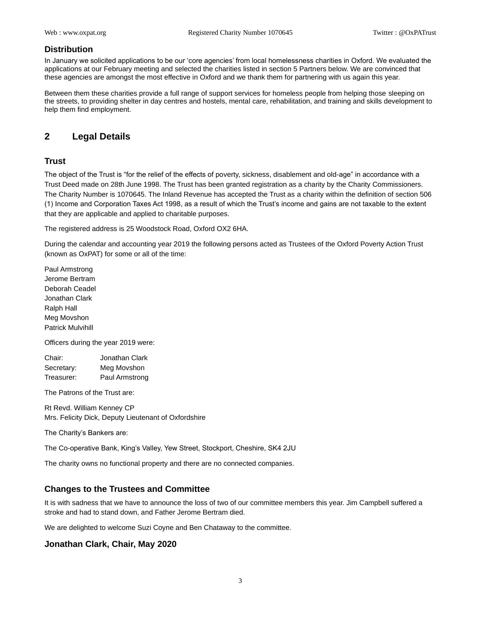#### **Distribution**

In January we solicited applications to be our 'core agencies' from local homelessness charities in Oxford. We evaluated the applications at our February meeting and selected the charities listed in section 5 Partners below. We are convinced that these agencies are amongst the most effective in Oxford and we thank them for partnering with us again this year.

Between them these charities provide a full range of support services for homeless people from helping those sleeping on the streets, to providing shelter in day centres and hostels, mental care, rehabilitation, and training and skills development to help them find employment.

## **2 Legal Details**

#### **Trust**

The object of the Trust is "for the relief of the effects of poverty, sickness, disablement and old-age" in accordance with a Trust Deed made on 28th June 1998. The Trust has been granted registration as a charity by the Charity Commissioners. The Charity Number is 1070645. The Inland Revenue has accepted the Trust as a charity within the definition of section 506 (1) Income and Corporation Taxes Act 1998, as a result of which the Trust's income and gains are not taxable to the extent that they are applicable and applied to charitable purposes.

The registered address is 25 Woodstock Road, Oxford OX2 6HA.

During the calendar and accounting year 2019 the following persons acted as Trustees of the Oxford Poverty Action Trust (known as OxPAT) for some or all of the time:

Paul Armstrong Jerome Bertram Deborah Ceadel Jonathan Clark Ralph Hall Meg Movshon Patrick Mulvihill

Officers during the year 2019 were:

| Chair:     | Jonathan Clark |
|------------|----------------|
| Secretary: | Meg Movshon    |
| Treasurer: | Paul Armstrong |

The Patrons of the Trust are:

Rt Revd. William Kenney CP Mrs. Felicity Dick, Deputy Lieutenant of Oxfordshire

The Charity's Bankers are:

The Co-operative Bank, King's Valley, Yew Street, Stockport, Cheshire, SK4 2JU

The charity owns no functional property and there are no connected companies.

#### **Changes to the Trustees and Committee**

It is with sadness that we have to announce the loss of two of our committee members this year. Jim Campbell suffered a stroke and had to stand down, and Father Jerome Bertram died.

We are delighted to welcome Suzi Coyne and Ben Chataway to the committee.

#### **Jonathan Clark, Chair, May 2020**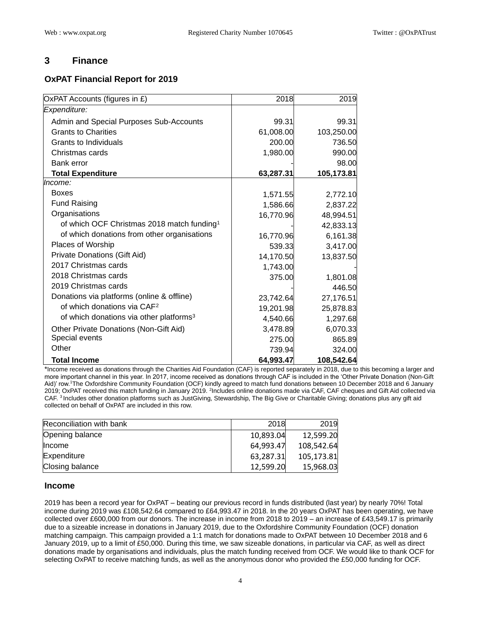## **3 Finance**

## **OxPAT Financial Report for 2019**

| OxPAT Accounts (figures in £)                          | 2018      | 2019       |
|--------------------------------------------------------|-----------|------------|
| Expenditure:                                           |           |            |
| Admin and Special Purposes Sub-Accounts                | 99.31     | 99.31      |
| <b>Grants to Charities</b>                             | 61,008.00 | 103,250.00 |
| Grants to Individuals                                  | 200.00    | 736.50     |
| Christmas cards                                        | 1,980.00  | 990.00     |
| Bank error                                             |           | 98.00      |
| <b>Total Expenditure</b>                               | 63,287.31 | 105,173.81 |
| Income:                                                |           |            |
| <b>Boxes</b>                                           | 1,571.55  | 2,772.10   |
| <b>Fund Raising</b>                                    | 1,586.66  | 2,837.22   |
| Organisations                                          | 16,770.96 | 48,994.51  |
| of which OCF Christmas 2018 match funding <sup>1</sup> |           | 42,833.13  |
| of which donations from other organisations            | 16,770.96 | 6,161.38   |
| Places of Worship                                      | 539.33    | 3,417.00   |
| Private Donations (Gift Aid)                           | 14,170.50 | 13,837.50  |
| 2017 Christmas cards                                   | 1,743.00  |            |
| 2018 Christmas cards                                   | 375.00    | 1,801.08   |
| 2019 Christmas cards                                   |           | 446.50     |
| Donations via platforms (online & offline)             | 23,742.64 | 27,176.51  |
| of which donations via CAF <sup>2</sup>                | 19,201.98 | 25,878.83  |
| of which donations via other platforms <sup>3</sup>    | 4,540.66  | 1,297.68   |
| Other Private Donations (Non-Gift Aid)                 | 3,478.89  | 6,070.33   |
| Special events                                         | 275.00    | 865.89     |
| Other                                                  | 739.94    | 324.00     |
| <b>Total Income</b>                                    | 64,993.47 | 108,542.64 |

\*Income received as donations through the Charities Aid Foundation (CAF) is reported separately in 2018, due to this becoming a larger and more important channel in this year. In 2017, income received as donations through CAF is included in the 'Other Private Donation (Non-Gift Aid)' row.<sup>1</sup>The Oxfordshire Community Foundation (OCF) kindly agreed to match fund donations between 10 December 2018 and 6 January 2019; OxPAT received this match funding in January 2019. <sup>2</sup>Includes online donations made via CAF, CAF cheques and Gift Aid collected via CAF.<sup>3</sup> Includes other donation platforms such as JustGiving, Stewardship, The Big Give or Charitable Giving; donations plus any gift aid collected on behalf of OxPAT are included in this row.

| Reconciliation with bank | 2018      | 2019       |
|--------------------------|-----------|------------|
| Opening balance          | 10,893.04 | 12,599.20  |
| <b>Income</b>            | 64,993.47 | 108,542.64 |
| Expenditure              | 63,287.31 | 105,173.81 |
| Closing balance          | 12,599.20 | 15,968.03  |

#### **Income**

2019 has been a record year for OxPAT – beating our previous record in funds distributed (last year) by nearly 70%! Total income during 2019 was £108,542.64 compared to £64,993.47 in 2018. In the 20 years OxPAT has been operating, we have collected over £600,000 from our donors. The increase in income from 2018 to 2019 – an increase of £43,549.17 is primarily due to a sizeable increase in donations in January 2019, due to the Oxfordshire Community Foundation (OCF) donation matching campaign. This campaign provided a 1:1 match for donations made to OxPAT between 10 December 2018 and 6 January 2019, up to a limit of £50,000. During this time, we saw sizeable donations, in particular via CAF, as well as direct donations made by organisations and individuals, plus the match funding received from OCF. We would like to thank OCF for selecting OxPAT to receive matching funds, as well as the anonymous donor who provided the £50,000 funding for OCF.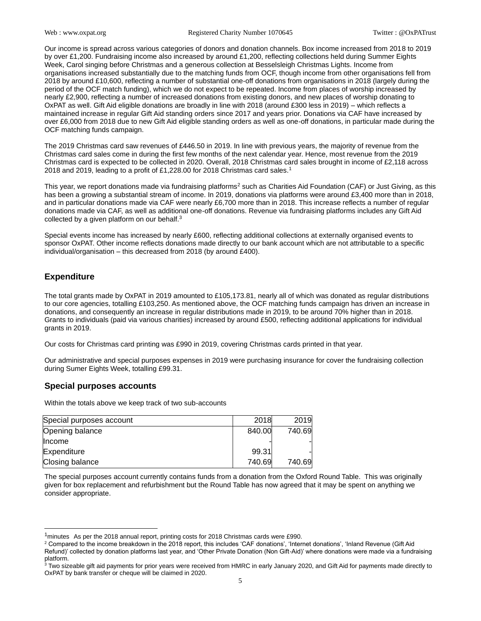Our income is spread across various categories of donors and donation channels. Box income increased from 2018 to 2019 by over £1,200. Fundraising income also increased by around £1,200, reflecting collections held during Summer Eights Week, Carol singing before Christmas and a generous collection at Besselsleigh Christmas Lights. Income from organisations increased substantially due to the matching funds from OCF, though income from other organisations fell from 2018 by around £10,600, reflecting a number of substantial one-off donations from organisations in 2018 (largely during the period of the OCF match funding), which we do not expect to be repeated. Income from places of worship increased by nearly £2,900, reflecting a number of increased donations from existing donors, and new places of worship donating to OxPAT as well. Gift Aid eligible donations are broadly in line with 2018 (around £300 less in 2019) – which reflects a maintained increase in regular Gift Aid standing orders since 2017 and years prior. Donations via CAF have increased by over £6,000 from 2018 due to new Gift Aid eligible standing orders as well as one-off donations, in particular made during the OCF matching funds campaign.

The 2019 Christmas card saw revenues of £446.50 in 2019. In line with previous years, the majority of revenue from the Christmas card sales come in during the first few months of the next calendar year. Hence, most revenue from the 2019 Christmas card is expected to be collected in 2020. Overall, 2018 Christmas card sales brought in income of £2,118 across 2018 and 2019, leading to a profit of £1,228.00 for 2018 Christmas card sales.<sup>1</sup>

This year, we report donations made via fundraising platforms<sup>2</sup> such as Charities Aid Foundation (CAF) or Just Giving, as this has been a growing a substantial stream of income. In 2019, donations via platforms were around £3,400 more than in 2018, and in particular donations made via CAF were nearly £6,700 more than in 2018. This increase reflects a number of regular donations made via CAF, as well as additional one-off donations. Revenue via fundraising platforms includes any Gift Aid collected by a given platform on our behalf.<sup>3</sup>

Special events income has increased by nearly £600, reflecting additional collections at externally organised events to sponsor OxPAT. Other income reflects donations made directly to our bank account which are not attributable to a specific individual/organisation – this decreased from 2018 (by around £400).

## **Expenditure**

The total grants made by OxPAT in 2019 amounted to £105,173.81, nearly all of which was donated as regular distributions to our core agencies, totalling £103,250. As mentioned above, the OCF matching funds campaign has driven an increase in donations, and consequently an increase in regular distributions made in 2019, to be around 70% higher than in 2018. Grants to individuals (paid via various charities) increased by around £500, reflecting additional applications for individual grants in 2019.

Our costs for Christmas card printing was £990 in 2019, covering Christmas cards printed in that year.

Our administrative and special purposes expenses in 2019 were purchasing insurance for cover the fundraising collection during Sumer Eights Week, totalling £99.31.

#### **Special purposes accounts**

Within the totals above we keep track of two sub-accounts

| Special purposes account | 2018   | 2019   |
|--------------------------|--------|--------|
| Opening balance          | 840.00 | 740.69 |
| Income                   |        |        |
| Expenditure              | 99.31  |        |
| Closing balance          | 740.69 | 740.69 |

The special purposes account currently contains funds from a donation from the Oxford Round Table. This was originally given for box replacement and refurbishment but the Round Table has now agreed that it may be spent on anything we consider appropriate.

 $1$ minutes As per the 2018 annual report, printing costs for 2018 Christmas cards were £990.

<sup>&</sup>lt;sup>2</sup> Compared to the income breakdown in the 2018 report, this includes 'CAF donations', 'Internet donations', 'Inland Revenue (Gift Aid Refund)' collected by donation platforms last year, and 'Other Private Donation (Non Gift-Aid)' where donations were made via a fundraising platform.

 $^3$  Two sizeable gift aid payments for prior years were received from HMRC in early January 2020, and Gift Aid for payments made directly to OxPAT by bank transfer or cheque will be claimed in 2020.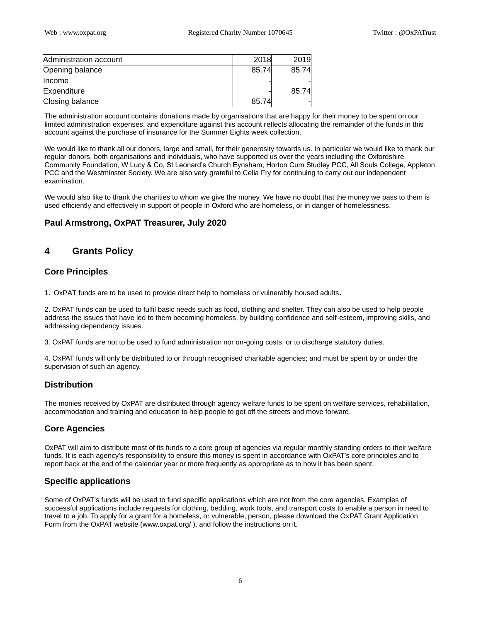| Administration account | 2018  | 2019  |
|------------------------|-------|-------|
| Opening balance        | 85.74 | 85.74 |
| Income                 |       |       |
| Expenditure            |       | 85.74 |
| Closing balance        | 85.74 |       |

The administration account contains donations made by organisations that are happy for their money to be spent on our limited administration expenses, and expenditure against this account reflects allocating the remainder of the funds in this account against the purchase of insurance for the Summer Eights week collection.

We would like to thank all our donors, large and small, for their generosity towards us. In particular we would like to thank our regular donors, both organisations and individuals, who have supported us over the years including the Oxfordshire Community Foundation, W Lucy & Co, St Leonard's Church Eynsham, Horton Cum Studley PCC, All Souls College, Appleton PCC and the Westminster Society. We are also very grateful to Celia Fry for continuing to carry out our independent examination.

We would also like to thank the charities to whom we give the money. We have no doubt that the money we pass to them is used efficiently and effectively in support of people in Oxford who are homeless, or in danger of homelessness.

## **Paul Armstrong, OxPAT Treasurer, July 2020**

## **4 Grants Policy**

## **Core Principles**

1. OxPAT funds are to be used to provide direct help to homeless or vulnerably housed adults.

2. OxPAT funds can be used to fulfil basic needs such as food, clothing and shelter. They can also be used to help people address the issues that have led to them becoming homeless, by building confidence and self-esteem, improving skills, and addressing dependency issues.

3. OxPAT funds are not to be used to fund administration nor on-going costs, or to discharge statutory duties.

4. OxPAT funds will only be distributed to or through recognised charitable agencies; and must be spent by or under the supervision of such an agency.

## **Distribution**

The monies received by OxPAT are distributed through agency welfare funds to be spent on welfare services, rehabilitation, accommodation and training and education to help people to get off the streets and move forward.

## **Core Agencies**

OxPAT will aim to distribute most of its funds to a core group of agencies via regular monthly standing orders to their welfare funds. It is each agency's responsibility to ensure this money is spent in accordance with OxPAT's core principles and to report back at the end of the calendar year or more frequently as appropriate as to how it has been spent.

## **Specific applications**

Some of OxPAT's funds will be used to fund specific applications which are not from the core agencies. Examples of successful applications include requests for clothing, bedding, work tools, and transport costs to enable a person in need to travel to a job. To apply for a grant for a homeless, or vulnerable, person, please download the OxPAT Grant Application Form from the OxPAT website (www.oxpat.org/ ), and follow the instructions on it.